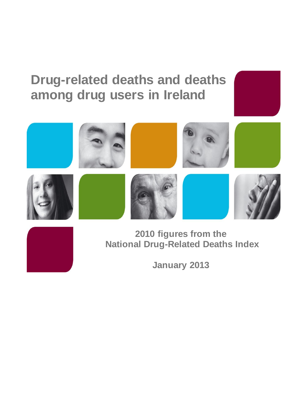# **Drug-related deaths and deaths among drug users in Ireland**



**January 2013**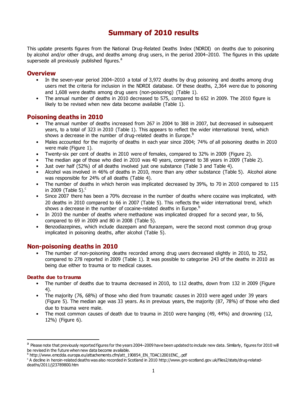# **Summary of 2010 results**

This update presents figures from the National Drug-Related Deaths Index (NDRDI) on deaths due to poisoning by alcohol and/or other drugs, and deaths among drug users, in the period 2004–2010. The figures in this update supersede all previously published figures.<sup>a</sup>

# **Overview**

- In the seven-year period 2004–2010 a total of 3,972 deaths by drug poisoning and deaths among drug users met the criteria for inclusion in the NDRDI database. Of these deaths, 2,364 were due to poisoning and 1,608 were deaths among drug users (non-poisoning) (Table 1).
- The annual number of deaths in 2010 decreased to 575, compared to 652 in 2009. The 2010 figure is likely to be revised when new data become available (Table 1).

# **Poisoning deaths in 2010**

- The annual number of deaths increased from 267 in 2004 to 388 in 2007, but decreased in subsequent years, to a total of 323 in 2010 (Table 1). This appears to reflect the wider international trend, which shows a decrease in the number of drug-related deaths in Europe.<sup>b</sup>
- Males accounted for the majority of deaths in each year since 2004; 74% of all poisoning deaths in 2010 were male (Figure 1).
- Twenty-six per cent of deaths in 2010 were of females, compared to 32% in 2009 (Figure 2).
- The median age of those who died in 2010 was 40 years, compared to 38 years in 2009 (Table 2).
- Just over half (52%) of all deaths involved just one substance (Table 3 and Table 4).
- Alcohol was involved in 46% of deaths in 2010, more than any other substance (Table 5). Alcohol alone was responsible for 24% of all deaths (Table 4).
- The number of deaths in which heroin was implicated decreased by 39%, to 70 in 2010 compared to 115 in 2009 (Table 5). $^{\circ}$
- Since 2007 there has been a 70% decrease in the number of deaths where cocaine was implicated, with 20 deaths in 2010 compared to 66 in 2007 (Table 5). This reflects the wider international trend, which shows a decrease in the number of cocaine-related deaths in Europe.<sup>b</sup>
- In 2010 the number of deaths where methadone was implicated dropped for a second year, to 56, compared to 69 in 2009 and 80 in 2008 (Table 5).
- Benzodiazepines, which include diazepam and flurazepam, were the second most common drug group implicated in poisoning deaths, after alcohol (Table 5).

# **Non-poisoning deaths in 2010**

• The number of non-poisoning deaths recorded among drug users decreased slightly in 2010, to 252, compared to 278 reported in 2009 (Table 1). It was possible to categorise 243 of the deaths in 2010 as being due either to trauma or to medical causes.

## **Deaths due to trauma**

 $\overline{a}$ 

- The number of deaths due to trauma decreased in 2010, to 112 deaths, down from 132 in 2009 (Figure 4).
- The majority (76, 68%) of those who died from traumatic causes in 2010 were aged under 39 years (Figure 5). The median age was 33 years. As in previous years, the majority (87, 78%) of those who died due to trauma were male.
- The most common causes of death due to trauma in 2010 were hanging (49, 44%) and drowning (12, 12%) (Figure 6).

<sup>&</sup>lt;sup>a</sup> Please note that previously reported figures for the years 2004–2009 have been updated to include new data. Similarly, figures for 2010 will be revised in the future when new data become available.

<sup>&</sup>lt;sup>b</sup> http://www.emcdda.europa.eu/attachements.cfm/att\_190854\_EN\_TDAC12001ENC\_.pdf

<sup>&</sup>lt;sup>c</sup> A decline in heroin-related deaths was also recorded in Scotland in 2010 http://www.gro-scotland.gov.uk/files2/stats/drug-relateddeaths/2011/j23789800.htm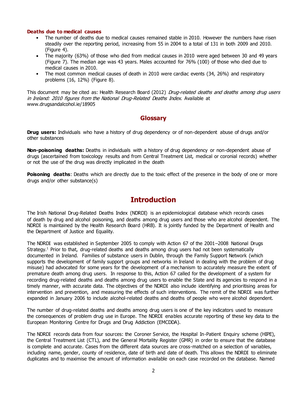#### **Deaths due to medical causes**

- The number of deaths due to medical causes remained stable in 2010. However the numbers have risen steadily over the reporting period, increasing from 55 in 2004 to a total of 131 in both 2009 and 2010. (Figure 4).
- The majority (63%) of those who died from medical causes in 2010 were aged between 30 and 49 years (Figure 7). The median age was 43 years. Males accounted for 76% (100) of those who died due to medical causes in 2010.
- The most common medical causes of death in 2010 were cardiac events (34, 26%) and respiratory problems (16, 12%) (Figure 8).

This document may be cited as: Health Research Board (2012) Drug-related deaths and deaths among drug users in Ireland: 2010 figures from the National Drug-Related Deaths Index. Available at www.drugsandalcohol.ie/18905

# **Glossary**

**Drug users:** Individuals who have a history of drug dependency or of non-dependent abuse of drugs and/or other substances

**Non-poisoning deaths:** Deaths in individuals with a history of drug dependency or non-dependent abuse of drugs (ascertained from toxicology results and from Central Treatment List, medical or coronial records) whether or not the use of the drug was directly implicated in the death

**Poisoning deaths:** Deaths which are directly due to the toxic effect of the presence in the body of one or more drugs and/or other substance(s)

# **Introduction**

The Irish National Drug-Related Deaths Index (NDRDI) is an epidemiological database which records cases of death by drug and alcohol poisoning, and deaths among drug users and those who are alcohol dependent. The NDRDI is maintained by the Health Research Board (HRB). It is jointly funded by the Department of Health and the Department of Justice and Equality.

The NDRDI was established in September 2005 to comply with Action 67 of the 2001–2008 National Drugs Strategy.<sup>1</sup> Prior to that, drug-related deaths and deaths among drug users had not been systematically documented in Ireland. Families of substance users in Dublin, through the Family Support Network (which supports the development of family support groups and networks in Ireland in dealing with the problem of drug misuse) had advocated for some years for the development of a mechanism to accurately measure the extent of premature death among drug users. In response to this, Action 67 called for the development of a system for recording drug-related deaths and deaths among drug users to enable the State and its agencies to respond in a timely manner, with accurate data. The objectives of the NDRDI also include identifying and prioritising areas for intervention and prevention, and measuring the effects of such interventions. The remit of the NDRDI was further expanded in January 2006 to include alcohol-related deaths and deaths of people who were alcohol dependent.

The number of drug-related deaths and deaths among drug users is one of the key indicators used to measure the consequences of problem drug use in Europe. The NDRDI enables accurate reporting of these key data to the European Monitoring Centre for Drugs and Drug Addiction (EMCDDA).

The NDRDI records data from four sources: the Coroner Service, the Hospital In-Patient Enquiry scheme (HIPE), the Central Treatment List (CTL), and the General Mortality Register (GMR) in order to ensure that the database is complete and accurate. Cases from the different data sources are cross-matched on a selection of variables, including name, gender, county of residence, date of birth and date of death. This allows the NDRDI to eliminate duplicates and to maximise the amount of information available on each case recorded on the database. Named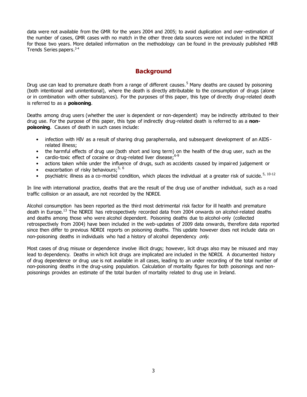data were not available from the GMR for the years 2004 and 2005; to avoid duplication and over-estimation of the number of cases, GMR cases with no match in the other three data sources were not included in the NDRDI for those two years. More detailed information on the methodology can be found in the previously published HRB Trends Series papers. 2-4

# **Background**

Drug use can lead to premature death from a range of different causes.<sup>5</sup> Many deaths are caused by poisoning (both intentional and unintentional), where the death is directly attributable to the consumption of drugs (alone or in combination with other substances). For the purposes of this paper, this type of directly drug-related death is referred to as a **poisoning**.

Deaths among drug users (whether the user is dependent or non-dependent) may be indirectly attributed to their drug use. For the purpose of this paper, this type of indirectly drug-related death is referred to as a **nonpoisoning**. Causes of death in such cases include:

- infection with HIV as a result of sharing drug paraphernalia, and subsequent development of an AIDS related illness;
- the harmful effects of drug use (both short and long term) on the health of the drug user, such as the
- cardio-toxic effect of cocaine or drug-related liver disease: 6-9
- actions taken while under the influence of drugs, such as accidents caused by impaired judgement or
- exacerbation of risky behaviours:  $5, 6$
- psychiatric illness as a co-morbid condition, which places the individual at a greater risk of suicide.<sup>5, 10-12</sup>

In line with international practice, deaths that are the result of the drug use of another individual, such as a road traffic collision or an assault, are not recorded by the NDRDI.

Alcohol consumption has been reported as the third most detrimental risk factor for ill health and premature death in Europe.<sup>13</sup> The NDRDI has retrospectively recorded data from 2004 onwards on alcohol-related deaths and deaths among those who were alcohol dependent. Poisoning deaths due to alcohol-only (collected retrospectively from 2004) have been included in the web-updates of 2009 data onwards, therefore data reported since then differ to previous NDRDI reports on poisoning deaths. This update however does not include data on non-poisoning deaths in individuals who had a history of alcohol dependency only.

Most cases of drug misuse or dependence involve illicit drugs; however, licit drugs also may be misused and may lead to dependency. Deaths in which licit drugs are implicated are included in the NDRDI. A documented history of drug dependence or drug use is not available in all cases, leading to an under recording of the total number of non-poisoning deaths in the drug-using population. Calculation of mortality figures for both poisonings and nonpoisonings provides an estimate of the total burden of mortality related to drug use in Ireland.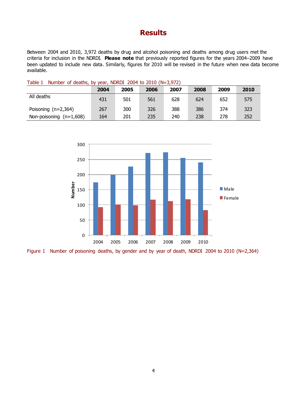# **Results**

Between 2004 and 2010, 3,972 deaths by drug and alcohol poisoning and deaths among drug users met the criteria for inclusion in the NDRDI. **Please note** that previously reported figures for the years 2004–2009 have been updated to include new data. Similarly, figures for 2010 will be revised in the future when new data become available.

#### Table 1 Number of deaths, by year, NDRDI 2004 to 2010 (N=3,972)

|                           | 2004 | 2005 | 2006 | 2007 | 2008 | 2009 | 2010 |
|---------------------------|------|------|------|------|------|------|------|
| All deaths                | 431  | 501  | 561  | 628  | 624  | 652  | 575  |
| Poisoning $(n=2,364)$     | 267  | 300  | 326  | 388  | 386  | 374  | 323  |
| Non-poisoning $(n=1,608)$ | 164  | 201  | 235  | 240  | 238  | 278  | 252  |



Figure 1 Number of poisoning deaths, by gender and by year of death, NDRDI 2004 to 2010 (N=2,364)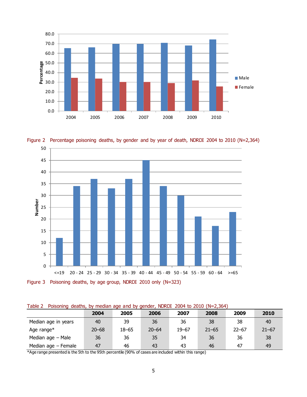





Figure 3 Poisoning deaths, by age group, NDRDI 2010 only (N=323)

| Table 2 Poisoning deaths, by median age and by gender, NDRDI 2004 to 2010 (N=2,364) |  |  |  |  |  |  |  |
|-------------------------------------------------------------------------------------|--|--|--|--|--|--|--|
|                                                                                     |  |  |  |  |  |  |  |

|                       | 2004      | 2005      | 2006      | 2007      | 2008      | 2009      | 2010      |  |  |
|-----------------------|-----------|-----------|-----------|-----------|-----------|-----------|-----------|--|--|
| Median age in years   | 40        | 39        | 36        | 36        | 38        | 38        | 40        |  |  |
| Age range $*$         | $20 - 68$ | $18 - 65$ | $20 - 64$ | $19 - 67$ | $21 - 65$ | $22 - 67$ | $21 - 67$ |  |  |
| Median age - Male     | 36        | 36        | 35        | 34        | 36        | 36        | 38        |  |  |
| Median age $-$ Female | 47        | 46        | 43        | 43        | 46        | 47        | 49        |  |  |

\*Age range presented is the 5th to the 95th percentile (90% of cases are included within this range)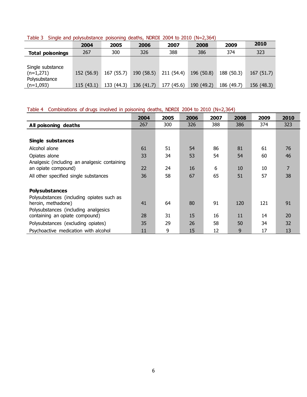**2004 2005 2006 2007 2008 2009 2010 Total poisonings** 267 300 326 388 386 374 323 Single substance (n=1,271) 152 (56.9) 167 (55.7) 190 (58.5) 211 (54.4) 196 (50.8) 188 (50.3) 167 (51.7) Polysubstance (n=1,093) 115 (43.1) 133 (44.3) 136 (41.7) 177 (45.6) 190 (49.2) 186 (49.7) 156 (48.3)

Table 3 Single and polysubstance poisoning deaths, NDRDI 2004 to 2010 (N=2,364)

#### Table 4 Combinations of drugs involved in poisoning deaths, NDRDI 2004 to 2010 (N=2,364)

|                                                                     | 2004 | 2005 | 2006 | 2007 | 2008 | 2009 | 2010           |
|---------------------------------------------------------------------|------|------|------|------|------|------|----------------|
| All poisoning deaths                                                | 267  | 300  | 326  | 388  | 386  | 374  | 323            |
|                                                                     |      |      |      |      |      |      |                |
| Single substances                                                   |      |      |      |      |      |      |                |
| Alcohol alone                                                       | 61   | 51   | 54   | 86   | 81   | 61   | 76             |
| Opiates alone                                                       | 33   | 34   | 53   | 54   | 54   | 60   | 46             |
| Analgesic (including an analgesic containing<br>an opiate compound) | 22   | 24   | 16   | 6    | 10   | 10   | $\overline{7}$ |
| All other specified single substances                               | 36   | 58   | 67   | 65   | 51   | 57   | 38             |
|                                                                     |      |      |      |      |      |      |                |
| <b>Polysubstances</b>                                               |      |      |      |      |      |      |                |
| Polysubstances (including opiates such as                           |      |      |      |      |      |      |                |
| heroin, methadone)                                                  | 41   | 64   | 80   | 91   | 120  | 121  | 91             |
| Polysubstances (including analgesics                                |      |      |      |      |      |      |                |
| containing an opiate compound)                                      | 28   | 31   | 15   | 16   | 11   | 14   | 20             |
| Polysubstances (excluding opiates)                                  | 35   | 29   | 26   | 58   | 50   | 34   | 32             |
| Psychoactive medication with alcohol                                | 11   | 9    | 15   | 12   | 9    | 17   | 13             |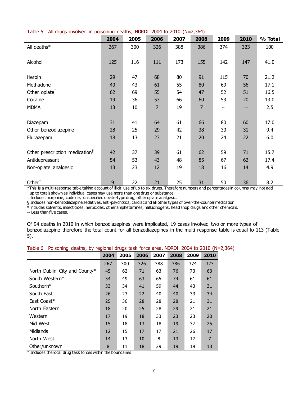|  | Table 5 All drugs involved in poisoning deaths, NDRDI 2004 to 2010 (N=2,364) |  |  |  |  |  |  |  |  |  |
|--|------------------------------------------------------------------------------|--|--|--|--|--|--|--|--|--|
|--|------------------------------------------------------------------------------|--|--|--|--|--|--|--|--|--|

|                                            | 2004 | 2005   | 2006           | 2007 | 2008 | 2009   | 2010   | % Total |
|--------------------------------------------|------|--------|----------------|------|------|--------|--------|---------|
| All deaths*                                | 267  | 300    | 326            | 388  | 386  | 374    | 323    | 100     |
|                                            |      |        |                |      |      |        |        |         |
| Alcohol                                    | 125  | 116    | 111            | 173  | 155  | 142    | 147    | 41.0    |
|                                            |      |        |                |      |      |        |        |         |
| Heroin                                     | 29   | 47     | 68             | 80   | 91   | 115    | 70     | 21.2    |
| Methadone                                  | 40   | 43     | 61             | 55   | 80   | 69     | 56     | 17.1    |
| Other opiate <sup><math>†</math></sup>     | 62   | 69     | 55             | 54   | 47   | 52     | 51     | 16.5    |
| Cocaine                                    | 19   | 36     | 53             | 66   | 60   | 53     | 20     | 13.0    |
| <b>MDMA</b>                                | 13   | $10\,$ | $\overline{7}$ | 19   | 7    | $\sim$ | $\sim$ | 2.5     |
|                                            |      |        |                |      |      |        |        |         |
| Diazepam                                   | 31   | 41     | 64             | 61   | 66   | 80     | 60     | 17.0    |
| Other benzodiazepine                       | 28   | 25     | 29             | 42   | 38   | 30     | 31     | 9.4     |
| Flurazepam                                 | 18   | 13     | 23             | 21   | 20   | 24     | 22     | 6.0     |
|                                            |      |        |                |      |      |        |        |         |
| Other prescription medication <sup>§</sup> | 42   | 37     | 39             | 61   | 62   | 59     | 71     | 15.7    |
| Antidepressant                             | 54   | 53     | 43             | 48   | 85   | 67     | 62     | 17.4    |
| Non-opiate analgesic                       | 13   | 23     | 12             | 19   | 18   | 16     | 14     | 4.9     |
|                                            |      |        |                |      |      |        |        |         |
| Other $†$                                  | 9    | 22     | 21             | 25   | 31   | 50     | 36     | 8.2     |

\*This is a multi-response table taking account of illicit use of up to six drugs. Therefore numbers and percentages in columns may not add up to totals shown as individual cases may use more than one drug or substance.

† Includes morphine, codeine, unspecified opiate-type drug, other opiate analgesic.

§ Includes non-benzodiazepine sedatives, anti-psychotics, cardiac and all other types of over-the-counter medication.

‡ includes solvents, insecticides, herbicides, other amphetamines, hallucinogens, head shop drugs and other chemicals.

 $\sim$  Less than five cases.

Of 94 deaths in 2010 in which benzodiazepines were implicated, 19 cases involved two or more types of benzodiazepine therefore the total count for all benzodiazepines in the multi-response table is equal to 113 (Table 5).

|  |  |  |  |  | Table 6 Poisoning deaths, by regional drugs task force area, NDRDI 2004 to 2010 (N=2,364) |  |  |  |  |
|--|--|--|--|--|-------------------------------------------------------------------------------------------|--|--|--|--|
|--|--|--|--|--|-------------------------------------------------------------------------------------------|--|--|--|--|

|                               | 2004 | 2005 | 2006 | 2007 | 2008 | 2009 | 2010           |
|-------------------------------|------|------|------|------|------|------|----------------|
|                               | 267  | 300  | 326  | 388  | 386  | 374  | 323            |
| North Dublin City and County* | 45   | 62   | 71   | 63   | 76   | 73   | 63             |
| South Western*                | 54   | 49   | 63   | 65   | 74   | 61   | 61             |
| Southern*                     | 33   | 34   | 41   | 59   | 44   | 43   | 31             |
| South East                    | 26   | 23   | 22   | 40   | 40   | 33   | 34             |
| East Coast*                   | 25   | 36   | 28   | 28   | 28   | 21   | 31             |
| North Eastern                 | 18   | 20   | 25   | 28   | 29   | 21   | 21             |
| Western                       | 17   | 19   | 18   | 33   | 23   | 23   | 20             |
| Mid West                      | 15   | 18   | 13   | 18   | 19   | 37   | 25             |
| <b>Midlands</b>               | 12   | 15   | 17   | 17   | 21   | 26   | 17             |
| North West                    | 14   | 13   | 10   | 8    | 13   | 17   | $\overline{7}$ |
| Other/unknown                 | 8    | 11   | 18   | 29   | 19   | 19   | 13             |

\* Includes the local drug task forces within the boundaries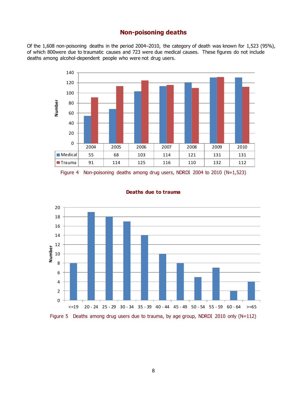# **Non-poisoning deaths**

Of the 1,608 non-poisoning deaths in the period 2004–2010, the category of death was known for 1,523 (95%), of which 800were due to traumatic causes and 723 were due medical causes. These figures do not include deaths among alcohol-dependent people who were not drug users.



Figure 4 Non-poisoning deaths among drug users, NDRDI 2004 to 2010 (N=1,523)



#### **Deaths due to trauma**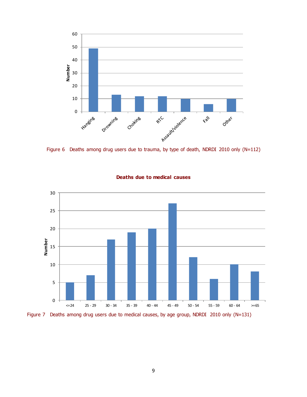

Figure 6 Deaths among drug users due to trauma, by type of death, NDRDI 2010 only (N=112)



## **Deaths due to medical causes**